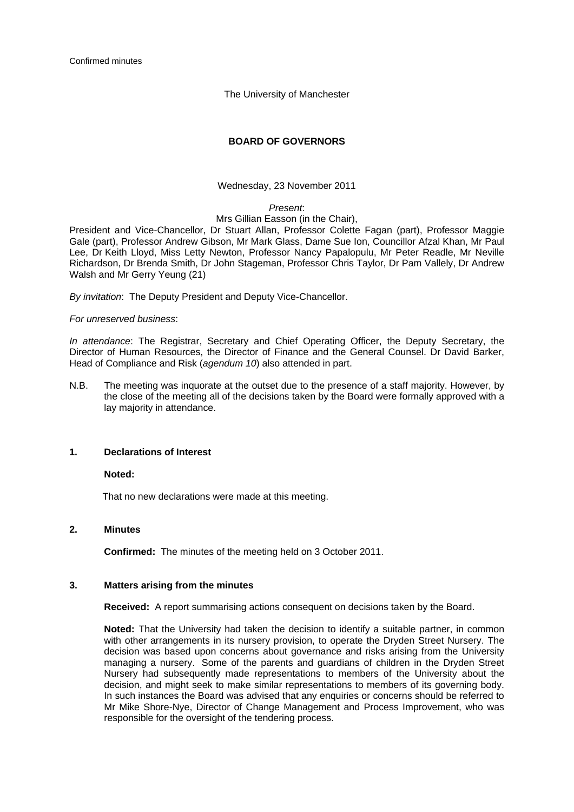The University of Manchester

# **BOARD OF GOVERNORS**

#### Wednesday, 23 November 2011

### *Present*:

### Mrs Gillian Easson (in the Chair),

President and Vice-Chancellor, Dr Stuart Allan, Professor Colette Fagan (part), Professor Maggie Gale (part), Professor Andrew Gibson, Mr Mark Glass, Dame Sue Ion, Councillor Afzal Khan, Mr Paul Lee, Dr Keith Lloyd, Miss Letty Newton, Professor Nancy Papalopulu, Mr Peter Readle, Mr Neville Richardson, Dr Brenda Smith, Dr John Stageman, Professor Chris Taylor, Dr Pam Vallely, Dr Andrew Walsh and Mr Gerry Yeung (21)

*By invitation*: The Deputy President and Deputy Vice-Chancellor.

### *For unreserved business*:

*In attendance*: The Registrar, Secretary and Chief Operating Officer, the Deputy Secretary, the Director of Human Resources, the Director of Finance and the General Counsel. Dr David Barker, Head of Compliance and Risk (*agendum 10*) also attended in part.

N.B. The meeting was inquorate at the outset due to the presence of a staff majority. However, by the close of the meeting all of the decisions taken by the Board were formally approved with a lay majority in attendance.

### **1. Declarations of Interest**

### **Noted:**

That no new declarations were made at this meeting.

### **2. Minutes**

**Confirmed:** The minutes of the meeting held on 3 October 2011.

## **3. Matters arising from the minutes**

 **Received:** A report summarising actions consequent on decisions taken by the Board.

**Noted:** That the University had taken the decision to identify a suitable partner, in common with other arrangements in its nursery provision, to operate the Dryden Street Nursery. The decision was based upon concerns about governance and risks arising from the University managing a nursery. Some of the parents and guardians of children in the Dryden Street Nursery had subsequently made representations to members of the University about the decision, and might seek to make similar representations to members of its governing body. In such instances the Board was advised that any enquiries or concerns should be referred to Mr Mike Shore-Nye, Director of Change Management and Process Improvement, who was responsible for the oversight of the tendering process.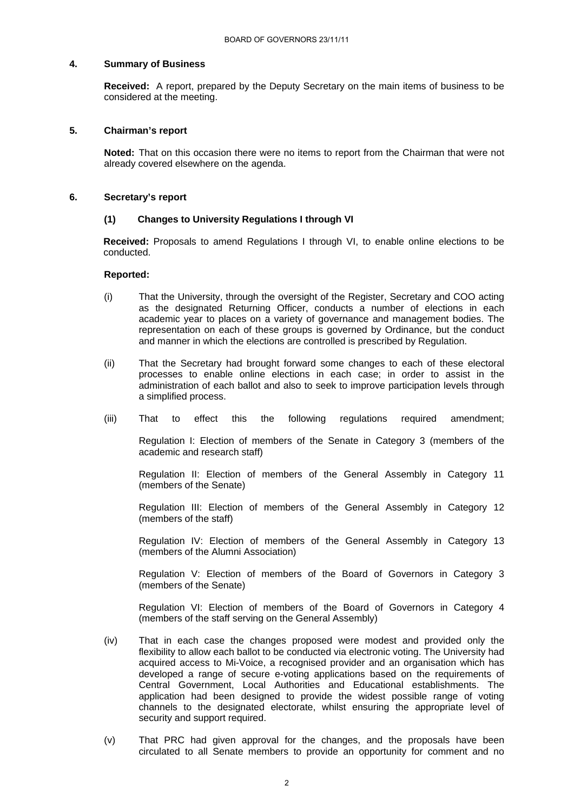### **4. Summary of Business**

**Received:** A report, prepared by the Deputy Secretary on the main items of business to be considered at the meeting.

#### **5. Chairman's report**

**Noted:** That on this occasion there were no items to report from the Chairman that were not already covered elsewhere on the agenda.

### **6. Secretary's report**

#### **(1) Changes to University Regulations I through VI**

**Received:** Proposals to amend Regulations I through VI, to enable online elections to be conducted.

#### **Reported:**

- (i) That the University, through the oversight of the Register, Secretary and COO acting as the designated Returning Officer, conducts a number of elections in each academic year to places on a variety of governance and management bodies. The representation on each of these groups is governed by Ordinance, but the conduct and manner in which the elections are controlled is prescribed by Regulation.
- (ii) That the Secretary had brought forward some changes to each of these electoral processes to enable online elections in each case; in order to assist in the administration of each ballot and also to seek to improve participation levels through a simplified process.
- (iii) That to effect this the following regulations required amendment;

Regulation I: Election of members of the Senate in Category 3 (members of the academic and research staff)

 Regulation II: Election of members of the General Assembly in Category 11 (members of the Senate)

 Regulation III: Election of members of the General Assembly in Category 12 (members of the staff)

 Regulation IV: Election of members of the General Assembly in Category 13 (members of the Alumni Association)

 Regulation V: Election of members of the Board of Governors in Category 3 (members of the Senate)

 Regulation VI: Election of members of the Board of Governors in Category 4 (members of the staff serving on the General Assembly)

- (iv) That in each case the changes proposed were modest and provided only the flexibility to allow each ballot to be conducted via electronic voting. The University had acquired access to Mi-Voice, a recognised provider and an organisation which has developed a range of secure e-voting applications based on the requirements of Central Government, Local Authorities and Educational establishments. The application had been designed to provide the widest possible range of voting channels to the designated electorate, whilst ensuring the appropriate level of security and support required.
- (v) That PRC had given approval for the changes, and the proposals have been circulated to all Senate members to provide an opportunity for comment and no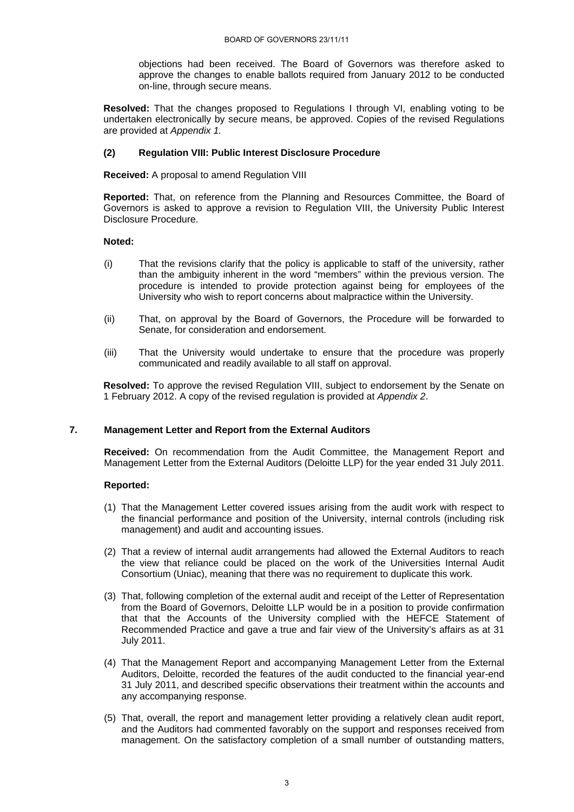objections had been received. The Board of Governors was therefore asked to approve the changes to enable ballots required from January 2012 to be conducted on-line, through secure means.

**Resolved:** That the changes proposed to Regulations I through VI, enabling voting to be undertaken electronically by secure means, be approved. Copies of the revised Regulations are provided at *Appendix 1.*

# **(2) Regulation VIII: Public Interest Disclosure Procedure**

 **Received:** A proposal to amend Regulation VIII

 **Reported:** That, on reference from the Planning and Resources Committee, the Board of Governors is asked to approve a revision to Regulation VIII, the University Public Interest Disclosure Procedure.

### **Noted:**

- (i) That the revisions clarify that the policy is applicable to staff of the university, rather than the ambiguity inherent in the word "members" within the previous version. The procedure is intended to provide protection against being for employees of the University who wish to report concerns about malpractice within the University.
- (ii) That, on approval by the Board of Governors, the Procedure will be forwarded to Senate, for consideration and endorsement.
- (iii) That the University would undertake to ensure that the procedure was properly communicated and readily available to all staff on approval.

 **Resolved:** To approve the revised Regulation VIII, subject to endorsement by the Senate on 1 February 2012. A copy of the revised regulation is provided at *Appendix 2*.

### **7. Management Letter and Report from the External Auditors**

**Received:** On recommendation from the Audit Committee, the Management Report and Management Letter from the External Auditors (Deloitte LLP) for the year ended 31 July 2011.

### **Reported:**

- (1) That the Management Letter covered issues arising from the audit work with respect to the financial performance and position of the University, internal controls (including risk management) and audit and accounting issues.
- (2) That a review of internal audit arrangements had allowed the External Auditors to reach the view that reliance could be placed on the work of the Universities Internal Audit Consortium (Uniac), meaning that there was no requirement to duplicate this work.
- (3) That, following completion of the external audit and receipt of the Letter of Representation from the Board of Governors, Deloitte LLP would be in a position to provide confirmation that that the Accounts of the University complied with the HEFCE Statement of Recommended Practice and gave a true and fair view of the University's affairs as at 31 July 2011.
- (4) That the Management Report and accompanying Management Letter from the External Auditors, Deloitte, recorded the features of the audit conducted to the financial year-end 31 July 2011, and described specific observations their treatment within the accounts and any accompanying response.
- (5) That, overall, the report and management letter providing a relatively clean audit report, and the Auditors had commented favorably on the support and responses received from management. On the satisfactory completion of a small number of outstanding matters,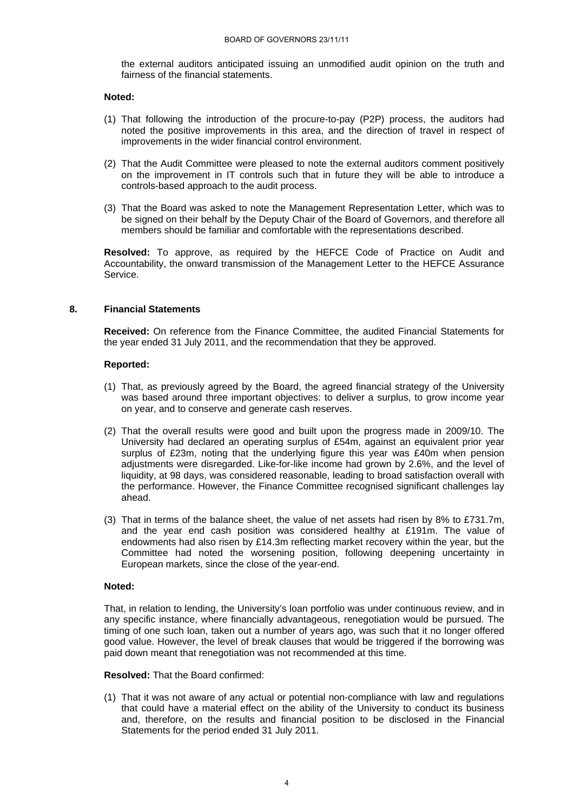the external auditors anticipated issuing an unmodified audit opinion on the truth and fairness of the financial statements.

#### **Noted:**

- (1) That following the introduction of the procure-to-pay (P2P) process, the auditors had noted the positive improvements in this area, and the direction of travel in respect of improvements in the wider financial control environment.
- (2) That the Audit Committee were pleased to note the external auditors comment positively on the improvement in IT controls such that in future they will be able to introduce a controls-based approach to the audit process.
- (3) That the Board was asked to note the Management Representation Letter, which was to be signed on their behalf by the Deputy Chair of the Board of Governors, and therefore all members should be familiar and comfortable with the representations described.

**Resolved:** To approve, as required by the HEFCE Code of Practice on Audit and Accountability, the onward transmission of the Management Letter to the HEFCE Assurance Service.

### **8. Financial Statements**

**Received:** On reference from the Finance Committee, the audited Financial Statements for the year ended 31 July 2011, and the recommendation that they be approved.

#### **Reported:**

- (1) That, as previously agreed by the Board, the agreed financial strategy of the University was based around three important objectives: to deliver a surplus, to grow income year on year, and to conserve and generate cash reserves.
- (2) That the overall results were good and built upon the progress made in 2009/10. The University had declared an operating surplus of £54m, against an equivalent prior year surplus of £23m, noting that the underlying figure this year was £40m when pension adjustments were disregarded. Like-for-like income had grown by 2.6%, and the level of liquidity, at 98 days, was considered reasonable, leading to broad satisfaction overall with the performance. However, the Finance Committee recognised significant challenges lay ahead.
- (3) That in terms of the balance sheet, the value of net assets had risen by 8% to £731.7m, and the year end cash position was considered healthy at £191m. The value of endowments had also risen by £14.3m reflecting market recovery within the year, but the Committee had noted the worsening position, following deepening uncertainty in European markets, since the close of the year-end.

#### **Noted:**

That, in relation to lending, the University's loan portfolio was under continuous review, and in any specific instance, where financially advantageous, renegotiation would be pursued. The timing of one such loan, taken out a number of years ago, was such that it no longer offered good value. However, the level of break clauses that would be triggered if the borrowing was paid down meant that renegotiation was not recommended at this time.

### **Resolved:** That the Board confirmed:

(1) That it was not aware of any actual or potential non-compliance with law and regulations that could have a material effect on the ability of the University to conduct its business and, therefore, on the results and financial position to be disclosed in the Financial Statements for the period ended 31 July 2011.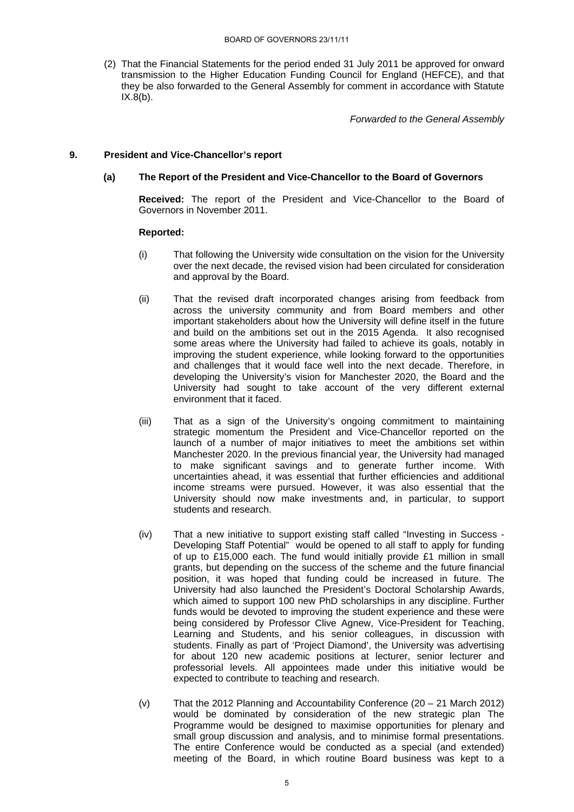(2) That the Financial Statements for the period ended 31 July 2011 be approved for onward transmission to the Higher Education Funding Council for England (HEFCE), and that they be also forwarded to the General Assembly for comment in accordance with Statute  $IX.8(b)$ .

*Forwarded to the General Assembly*

# **9. President and Vice-Chancellor's report**

# **(a) The Report of the President and Vice-Chancellor to the Board of Governors**

 **Received:** The report of the President and Vice-Chancellor to the Board of Governors in November 2011.

## **Reported:**

- (i) That following the University wide consultation on the vision for the University over the next decade, the revised vision had been circulated for consideration and approval by the Board.
- (ii) That the revised draft incorporated changes arising from feedback from across the university community and from Board members and other important stakeholders about how the University will define itself in the future and build on the ambitions set out in the 2015 Agenda. It also recognised some areas where the University had failed to achieve its goals, notably in improving the student experience, while looking forward to the opportunities and challenges that it would face well into the next decade. Therefore, in developing the University's vision for Manchester 2020, the Board and the University had sought to take account of the very different external environment that it faced.
- (iii) That as a sign of the University's ongoing commitment to maintaining strategic momentum the President and Vice-Chancellor reported on the launch of a number of major initiatives to meet the ambitions set within Manchester 2020. In the previous financial year, the University had managed to make significant savings and to generate further income. With uncertainties ahead, it was essential that further efficiencies and additional income streams were pursued. However, it was also essential that the University should now make investments and, in particular, to support students and research.
- (iv) That a new initiative to support existing staff called "Investing in Success Developing Staff Potential" would be opened to all staff to apply for funding of up to £15,000 each. The fund would initially provide £1 million in small grants, but depending on the success of the scheme and the future financial position, it was hoped that funding could be increased in future. The University had also launched the President's Doctoral Scholarship Awards, which aimed to support 100 new PhD scholarships in any discipline. Further funds would be devoted to improving the student experience and these were being considered by Professor Clive Agnew, Vice-President for Teaching, Learning and Students, and his senior colleagues, in discussion with students. Finally as part of 'Project Diamond', the University was advertising for about 120 new academic positions at lecturer, senior lecturer and professorial levels. All appointees made under this initiative would be expected to contribute to teaching and research.
- (v) That the 2012 Planning and Accountability Conference (20 21 March 2012) would be dominated by consideration of the new strategic plan The Programme would be designed to maximise opportunities for plenary and small group discussion and analysis, and to minimise formal presentations. The entire Conference would be conducted as a special (and extended) meeting of the Board, in which routine Board business was kept to a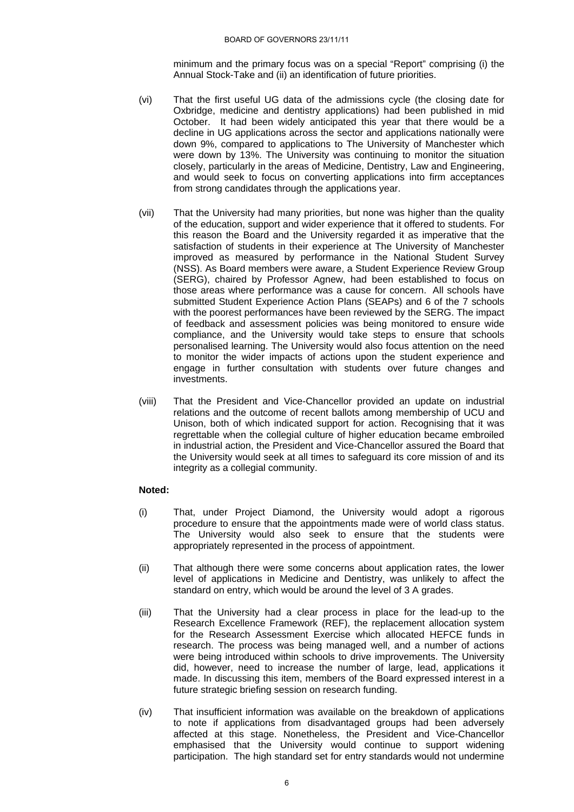minimum and the primary focus was on a special "Report" comprising (i) the Annual Stock-Take and (ii) an identification of future priorities.

- (vi) That the first useful UG data of the admissions cycle (the closing date for Oxbridge, medicine and dentistry applications) had been published in mid October. It had been widely anticipated this year that there would be a decline in UG applications across the sector and applications nationally were down 9%, compared to applications to The University of Manchester which were down by 13%. The University was continuing to monitor the situation closely, particularly in the areas of Medicine, Dentistry, Law and Engineering, and would seek to focus on converting applications into firm acceptances from strong candidates through the applications year.
- (vii) That the University had many priorities, but none was higher than the quality of the education, support and wider experience that it offered to students. For this reason the Board and the University regarded it as imperative that the satisfaction of students in their experience at The University of Manchester improved as measured by performance in the National Student Survey (NSS). As Board members were aware, a Student Experience Review Group (SERG), chaired by Professor Agnew, had been established to focus on those areas where performance was a cause for concern. All schools have submitted Student Experience Action Plans (SEAPs) and 6 of the 7 schools with the poorest performances have been reviewed by the SERG. The impact of feedback and assessment policies was being monitored to ensure wide compliance, and the University would take steps to ensure that schools personalised learning. The University would also focus attention on the need to monitor the wider impacts of actions upon the student experience and engage in further consultation with students over future changes and investments.
- (viii) That the President and Vice-Chancellor provided an update on industrial relations and the outcome of recent ballots among membership of UCU and Unison, both of which indicated support for action. Recognising that it was regrettable when the collegial culture of higher education became embroiled in industrial action, the President and Vice-Chancellor assured the Board that the University would seek at all times to safeguard its core mission of and its integrity as a collegial community.

# **Noted:**

- (i) That, under Project Diamond, the University would adopt a rigorous procedure to ensure that the appointments made were of world class status. The University would also seek to ensure that the students were appropriately represented in the process of appointment.
- (ii) That although there were some concerns about application rates, the lower level of applications in Medicine and Dentistry, was unlikely to affect the standard on entry, which would be around the level of 3 A grades.
- (iii) That the University had a clear process in place for the lead-up to the Research Excellence Framework (REF), the replacement allocation system for the Research Assessment Exercise which allocated HEFCE funds in research. The process was being managed well, and a number of actions were being introduced within schools to drive improvements. The University did, however, need to increase the number of large, lead, applications it made. In discussing this item, members of the Board expressed interest in a future strategic briefing session on research funding.
- (iv) That insufficient information was available on the breakdown of applications to note if applications from disadvantaged groups had been adversely affected at this stage. Nonetheless, the President and Vice-Chancellor emphasised that the University would continue to support widening participation. The high standard set for entry standards would not undermine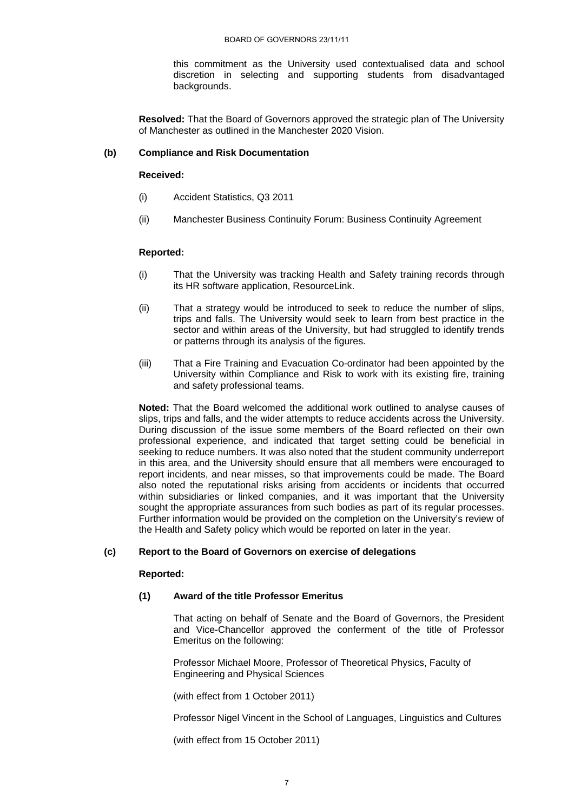this commitment as the University used contextualised data and school discretion in selecting and supporting students from disadvantaged backgrounds.

**Resolved:** That the Board of Governors approved the strategic plan of The University of Manchester as outlined in the Manchester 2020 Vision.

# **(b) Compliance and Risk Documentation**

### **Received:**

- (i) Accident Statistics, Q3 2011
- (ii) Manchester Business Continuity Forum: Business Continuity Agreement

## **Reported:**

- (i) That the University was tracking Health and Safety training records through its HR software application, ResourceLink.
- (ii) That a strategy would be introduced to seek to reduce the number of slips, trips and falls. The University would seek to learn from best practice in the sector and within areas of the University, but had struggled to identify trends or patterns through its analysis of the figures.
- (iii) That a Fire Training and Evacuation Co-ordinator had been appointed by the University within Compliance and Risk to work with its existing fire, training and safety professional teams.

**Noted:** That the Board welcomed the additional work outlined to analyse causes of slips, trips and falls, and the wider attempts to reduce accidents across the University. During discussion of the issue some members of the Board reflected on their own professional experience, and indicated that target setting could be beneficial in seeking to reduce numbers. It was also noted that the student community underreport in this area, and the University should ensure that all members were encouraged to report incidents, and near misses, so that improvements could be made. The Board also noted the reputational risks arising from accidents or incidents that occurred within subsidiaries or linked companies, and it was important that the University sought the appropriate assurances from such bodies as part of its regular processes. Further information would be provided on the completion on the University's review of the Health and Safety policy which would be reported on later in the year.

### **(c) Report to the Board of Governors on exercise of delegations**

### **Reported:**

## **(1) Award of the title Professor Emeritus**

That acting on behalf of Senate and the Board of Governors, the President and Vice-Chancellor approved the conferment of the title of Professor Emeritus on the following:

Professor Michael Moore, Professor of Theoretical Physics, Faculty of Engineering and Physical Sciences

(with effect from 1 October 2011)

Professor Nigel Vincent in the School of Languages, Linguistics and Cultures

(with effect from 15 October 2011)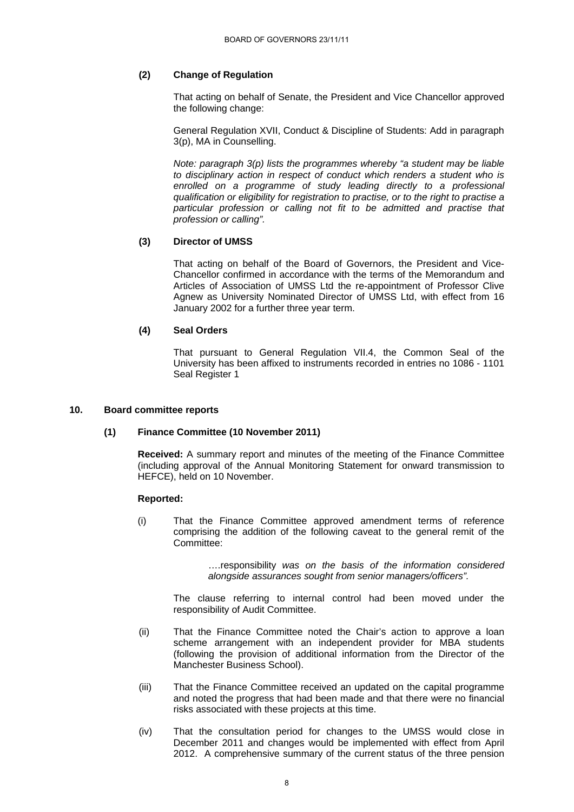# **(2) Change of Regulation**

That acting on behalf of Senate, the President and Vice Chancellor approved the following change:

General Regulation XVII, Conduct & Discipline of Students: Add in paragraph 3(p), MA in Counselling.

*Note: paragraph 3(p) lists the programmes whereby "a student may be liable to disciplinary action in respect of conduct which renders a student who is enrolled on a programme of study leading directly to a professional qualification or eligibility for registration to practise, or to the right to practise a particular profession or calling not fit to be admitted and practise that profession or calling".* 

# **(3) Director of UMSS**

That acting on behalf of the Board of Governors, the President and Vice-Chancellor confirmed in accordance with the terms of the Memorandum and Articles of Association of UMSS Ltd the re-appointment of Professor Clive Agnew as University Nominated Director of UMSS Ltd, with effect from 16 January 2002 for a further three year term.

# **(4) Seal Orders**

That pursuant to General Regulation VII.4, the Common Seal of the University has been affixed to instruments recorded in entries no 1086 - 1101 Seal Register 1

### **10. Board committee reports**

# **(1) Finance Committee (10 November 2011)**

**Received:** A summary report and minutes of the meeting of the Finance Committee (including approval of the Annual Monitoring Statement for onward transmission to HEFCE), held on 10 November.

### **Reported:**

 (i) That the Finance Committee approved amendment terms of reference comprising the addition of the following caveat to the general remit of the Committee:

> ….responsibility *was on the basis of the information considered alongside assurances sought from senior managers/officers".*

The clause referring to internal control had been moved under the responsibility of Audit Committee.

- (ii) That the Finance Committee noted the Chair's action to approve a loan scheme arrangement with an independent provider for MBA students (following the provision of additional information from the Director of the Manchester Business School).
- (iii) That the Finance Committee received an updated on the capital programme and noted the progress that had been made and that there were no financial risks associated with these projects at this time.
- (iv) That the consultation period for changes to the UMSS would close in December 2011 and changes would be implemented with effect from April 2012. A comprehensive summary of the current status of the three pension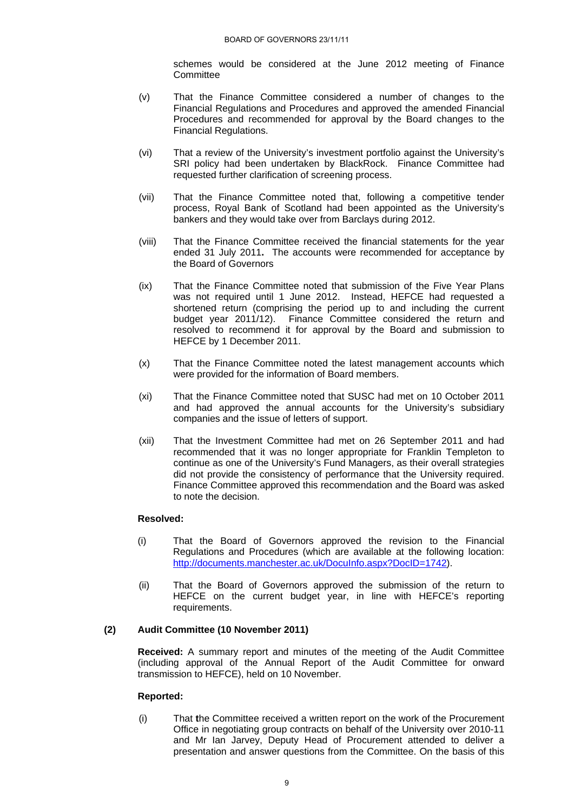schemes would be considered at the June 2012 meeting of Finance **Committee** 

- (v) That the Finance Committee considered a number of changes to the Financial Regulations and Procedures and approved the amended Financial Procedures and recommended for approval by the Board changes to the Financial Regulations.
- (vi) That a review of the University's investment portfolio against the University's SRI policy had been undertaken by BlackRock. Finance Committee had requested further clarification of screening process.
- (vii) That the Finance Committee noted that, following a competitive tender process, Royal Bank of Scotland had been appointed as the University's bankers and they would take over from Barclays during 2012.
- (viii) That the Finance Committee received the financial statements for the year ended 31 July 2011**.** The accounts were recommended for acceptance by the Board of Governors
- (ix) That the Finance Committee noted that submission of the Five Year Plans was not required until 1 June 2012. Instead, HEFCE had requested a shortened return (comprising the period up to and including the current budget year 2011/12). Finance Committee considered the return and resolved to recommend it for approval by the Board and submission to HEFCE by 1 December 2011.
- (x) That the Finance Committee noted the latest management accounts which were provided for the information of Board members.
- (xi) That the Finance Committee noted that SUSC had met on 10 October 2011 and had approved the annual accounts for the University's subsidiary companies and the issue of letters of support.
- (xii) That the Investment Committee had met on 26 September 2011 and had recommended that it was no longer appropriate for Franklin Templeton to continue as one of the University's Fund Managers, as their overall strategies did not provide the consistency of performance that the University required. Finance Committee approved this recommendation and the Board was asked to note the decision.

# **Resolved:**

- (i) That the Board of Governors approved the revision to the Financial Regulations and Procedures (which are available at the following location: http://documents.manchester.ac.uk/DocuInfo.aspx?DocID=1742).
- (ii) That the Board of Governors approved the submission of the return to HEFCE on the current budget year, in line with HEFCE's reporting requirements.

# **(2) Audit Committee (10 November 2011)**

**Received:** A summary report and minutes of the meeting of the Audit Committee (including approval of the Annual Report of the Audit Committee for onward transmission to HEFCE), held on 10 November.

### **Reported:**

(i) That **t**he Committee received a written report on the work of the Procurement Office in negotiating group contracts on behalf of the University over 2010-11 and Mr Ian Jarvey, Deputy Head of Procurement attended to deliver a presentation and answer questions from the Committee. On the basis of this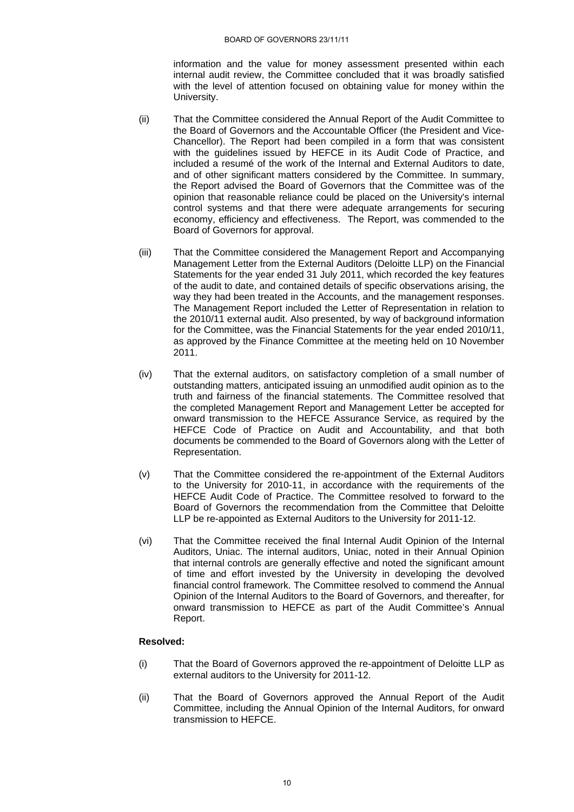information and the value for money assessment presented within each internal audit review, the Committee concluded that it was broadly satisfied with the level of attention focused on obtaining value for money within the University.

- (ii) That the Committee considered the Annual Report of the Audit Committee to the Board of Governors and the Accountable Officer (the President and Vice-Chancellor). The Report had been compiled in a form that was consistent with the guidelines issued by HEFCE in its Audit Code of Practice, and included a resumé of the work of the Internal and External Auditors to date, and of other significant matters considered by the Committee. In summary, the Report advised the Board of Governors that the Committee was of the opinion that reasonable reliance could be placed on the University's internal control systems and that there were adequate arrangements for securing economy, efficiency and effectiveness. The Report, was commended to the Board of Governors for approval.
- (iii) That the Committee considered the Management Report and Accompanying Management Letter from the External Auditors (Deloitte LLP) on the Financial Statements for the year ended 31 July 2011, which recorded the key features of the audit to date, and contained details of specific observations arising, the way they had been treated in the Accounts, and the management responses. The Management Report included the Letter of Representation in relation to the 2010/11 external audit. Also presented, by way of background information for the Committee, was the Financial Statements for the year ended 2010/11, as approved by the Finance Committee at the meeting held on 10 November 2011.
- (iv) That the external auditors, on satisfactory completion of a small number of outstanding matters, anticipated issuing an unmodified audit opinion as to the truth and fairness of the financial statements. The Committee resolved that the completed Management Report and Management Letter be accepted for onward transmission to the HEFCE Assurance Service, as required by the HEFCE Code of Practice on Audit and Accountability, and that both documents be commended to the Board of Governors along with the Letter of Representation.
- (v) That the Committee considered the re-appointment of the External Auditors to the University for 2010-11, in accordance with the requirements of the HEFCE Audit Code of Practice. The Committee resolved to forward to the Board of Governors the recommendation from the Committee that Deloitte LLP be re-appointed as External Auditors to the University for 2011-12.
- (vi) That the Committee received the final Internal Audit Opinion of the Internal Auditors, Uniac. The internal auditors, Uniac, noted in their Annual Opinion that internal controls are generally effective and noted the significant amount of time and effort invested by the University in developing the devolved financial control framework. The Committee resolved to commend the Annual Opinion of the Internal Auditors to the Board of Governors, and thereafter, for onward transmission to HEFCE as part of the Audit Committee's Annual Report.

### **Resolved:**

- (i) That the Board of Governors approved the re-appointment of Deloitte LLP as external auditors to the University for 2011-12.
- (ii) That the Board of Governors approved the Annual Report of the Audit Committee, including the Annual Opinion of the Internal Auditors, for onward transmission to HEFCE.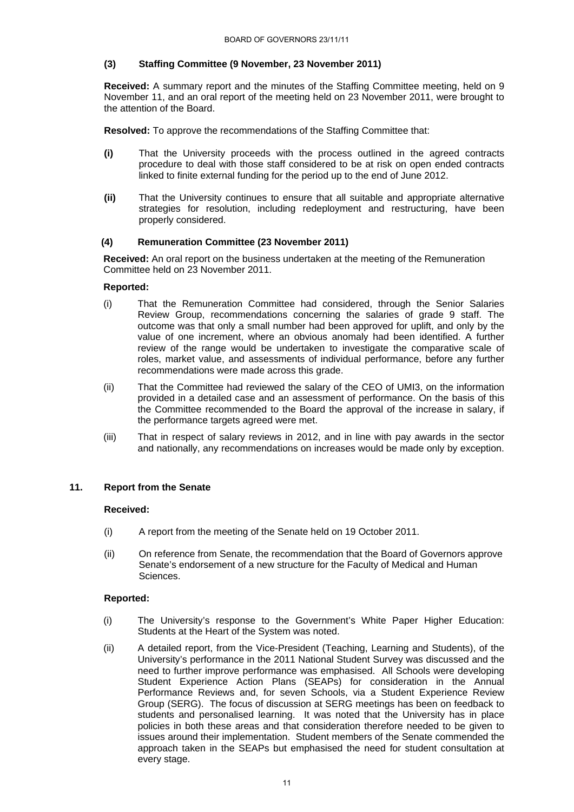# **(3) Staffing Committee (9 November, 23 November 2011)**

**Received:** A summary report and the minutes of the Staffing Committee meeting, held on 9 November 11, and an oral report of the meeting held on 23 November 2011, were brought to the attention of the Board.

 **Resolved:** To approve the recommendations of the Staffing Committee that:

- **(i)** That the University proceeds with the process outlined in the agreed contracts procedure to deal with those staff considered to be at risk on open ended contracts linked to finite external funding for the period up to the end of June 2012.
- **(ii)** That the University continues to ensure that all suitable and appropriate alternative strategies for resolution, including redeployment and restructuring, have been properly considered.

## **(4) Remuneration Committee (23 November 2011)**

 **Received:** An oral report on the business undertaken at the meeting of the Remuneration Committee held on 23 November 2011.

## **Reported:**

- (i) That the Remuneration Committee had considered, through the Senior Salaries Review Group, recommendations concerning the salaries of grade 9 staff. The outcome was that only a small number had been approved for uplift, and only by the value of one increment, where an obvious anomaly had been identified. A further review of the range would be undertaken to investigate the comparative scale of roles, market value, and assessments of individual performance, before any further recommendations were made across this grade.
- (ii) That the Committee had reviewed the salary of the CEO of UMI3, on the information provided in a detailed case and an assessment of performance. On the basis of this the Committee recommended to the Board the approval of the increase in salary, if the performance targets agreed were met.
- (iii) That in respect of salary reviews in 2012, and in line with pay awards in the sector and nationally, any recommendations on increases would be made only by exception.

### **11. Report from the Senate**

### **Received:**

- (i) A report from the meeting of the Senate held on 19 October 2011.
- (ii) On reference from Senate, the recommendation that the Board of Governors approve Senate's endorsement of a new structure for the Faculty of Medical and Human Sciences.

### **Reported:**

- (i) The University's response to the Government's White Paper Higher Education: Students at the Heart of the System was noted.
- (ii) A detailed report, from the Vice-President (Teaching, Learning and Students), of the University's performance in the 2011 National Student Survey was discussed and the need to further improve performance was emphasised. All Schools were developing Student Experience Action Plans (SEAPs) for consideration in the Annual Performance Reviews and, for seven Schools, via a Student Experience Review Group (SERG). The focus of discussion at SERG meetings has been on feedback to students and personalised learning. It was noted that the University has in place policies in both these areas and that consideration therefore needed to be given to issues around their implementation. Student members of the Senate commended the approach taken in the SEAPs but emphasised the need for student consultation at every stage.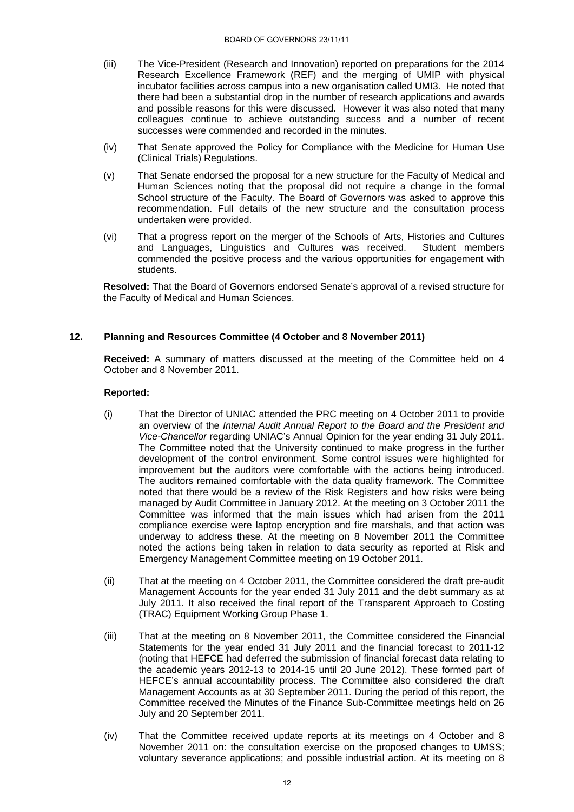- (iii) The Vice-President (Research and Innovation) reported on preparations for the 2014 Research Excellence Framework (REF) and the merging of UMIP with physical incubator facilities across campus into a new organisation called UMI3. He noted that there had been a substantial drop in the number of research applications and awards and possible reasons for this were discussed. However it was also noted that many colleagues continue to achieve outstanding success and a number of recent successes were commended and recorded in the minutes.
- (iv) That Senate approved the Policy for Compliance with the Medicine for Human Use (Clinical Trials) Regulations.
- (v) That Senate endorsed the proposal for a new structure for the Faculty of Medical and Human Sciences noting that the proposal did not require a change in the formal School structure of the Faculty. The Board of Governors was asked to approve this recommendation. Full details of the new structure and the consultation process undertaken were provided.
- (vi) That a progress report on the merger of the Schools of Arts, Histories and Cultures and Languages, Linguistics and Cultures was received. Student members commended the positive process and the various opportunities for engagement with students.

**Resolved:** That the Board of Governors endorsed Senate's approval of a revised structure for the Faculty of Medical and Human Sciences.

# **12. Planning and Resources Committee (4 October and 8 November 2011)**

**Received:** A summary of matters discussed at the meeting of the Committee held on 4 October and 8 November 2011.

# **Reported:**

- (i) That the Director of UNIAC attended the PRC meeting on 4 October 2011 to provide an overview of the *Internal Audit Annual Report to the Board and the President and Vice-Chancellor* regarding UNIAC's Annual Opinion for the year ending 31 July 2011. The Committee noted that the University continued to make progress in the further development of the control environment. Some control issues were highlighted for improvement but the auditors were comfortable with the actions being introduced. The auditors remained comfortable with the data quality framework. The Committee noted that there would be a review of the Risk Registers and how risks were being managed by Audit Committee in January 2012. At the meeting on 3 October 2011 the Committee was informed that the main issues which had arisen from the 2011 compliance exercise were laptop encryption and fire marshals, and that action was underway to address these. At the meeting on 8 November 2011 the Committee noted the actions being taken in relation to data security as reported at Risk and Emergency Management Committee meeting on 19 October 2011.
- (ii) That at the meeting on 4 October 2011, the Committee considered the draft pre-audit Management Accounts for the year ended 31 July 2011 and the debt summary as at July 2011. It also received the final report of the Transparent Approach to Costing (TRAC) Equipment Working Group Phase 1.
- (iii) That at the meeting on 8 November 2011, the Committee considered the Financial Statements for the year ended 31 July 2011 and the financial forecast to 2011-12 (noting that HEFCE had deferred the submission of financial forecast data relating to the academic years 2012-13 to 2014-15 until 20 June 2012). These formed part of HEFCE's annual accountability process. The Committee also considered the draft Management Accounts as at 30 September 2011. During the period of this report, the Committee received the Minutes of the Finance Sub-Committee meetings held on 26 July and 20 September 2011.
- (iv) That the Committee received update reports at its meetings on 4 October and 8 November 2011 on: the consultation exercise on the proposed changes to UMSS; voluntary severance applications; and possible industrial action. At its meeting on 8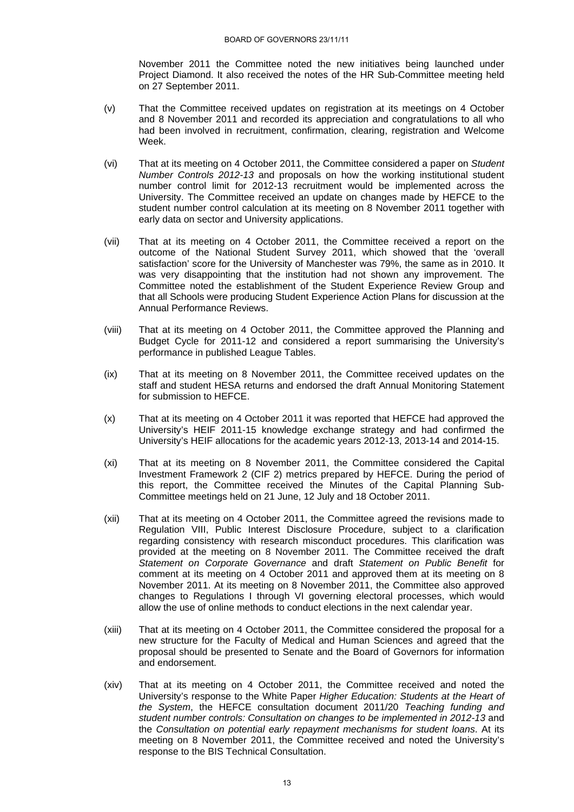November 2011 the Committee noted the new initiatives being launched under Project Diamond. It also received the notes of the HR Sub-Committee meeting held on 27 September 2011.

- (v) That the Committee received updates on registration at its meetings on 4 October and 8 November 2011 and recorded its appreciation and congratulations to all who had been involved in recruitment, confirmation, clearing, registration and Welcome Week.
- (vi) That at its meeting on 4 October 2011, the Committee considered a paper on *Student Number Controls 2012-13* and proposals on how the working institutional student number control limit for 2012-13 recruitment would be implemented across the University. The Committee received an update on changes made by HEFCE to the student number control calculation at its meeting on 8 November 2011 together with early data on sector and University applications.
- (vii) That at its meeting on 4 October 2011, the Committee received a report on the outcome of the National Student Survey 2011, which showed that the 'overall satisfaction' score for the University of Manchester was 79%, the same as in 2010. It was very disappointing that the institution had not shown any improvement. The Committee noted the establishment of the Student Experience Review Group and that all Schools were producing Student Experience Action Plans for discussion at the Annual Performance Reviews.
- (viii) That at its meeting on 4 October 2011, the Committee approved the Planning and Budget Cycle for 2011-12 and considered a report summarising the University's performance in published League Tables.
- (ix) That at its meeting on 8 November 2011, the Committee received updates on the staff and student HESA returns and endorsed the draft Annual Monitoring Statement for submission to HEFCE.
- (x) That at its meeting on 4 October 2011 it was reported that HEFCE had approved the University's HEIF 2011-15 knowledge exchange strategy and had confirmed the University's HEIF allocations for the academic years 2012-13, 2013-14 and 2014-15.
- (xi) That at its meeting on 8 November 2011, the Committee considered the Capital Investment Framework 2 (CIF 2) metrics prepared by HEFCE. During the period of this report, the Committee received the Minutes of the Capital Planning Sub-Committee meetings held on 21 June, 12 July and 18 October 2011.
- (xii) That at its meeting on 4 October 2011, the Committee agreed the revisions made to Regulation VIII, Public Interest Disclosure Procedure, subject to a clarification regarding consistency with research misconduct procedures. This clarification was provided at the meeting on 8 November 2011. The Committee received the draft *Statement on Corporate Governance* and draft *Statement on Public Benefit* for comment at its meeting on 4 October 2011 and approved them at its meeting on 8 November 2011. At its meeting on 8 November 2011, the Committee also approved changes to Regulations I through VI governing electoral processes, which would allow the use of online methods to conduct elections in the next calendar year.
- (xiii) That at its meeting on 4 October 2011, the Committee considered the proposal for a new structure for the Faculty of Medical and Human Sciences and agreed that the proposal should be presented to Senate and the Board of Governors for information and endorsement.
- (xiv) That at its meeting on 4 October 2011, the Committee received and noted the University's response to the White Paper *Higher Education: Students at the Heart of the System*, the HEFCE consultation document 2011/20 *Teaching funding and student number controls: Consultation on changes to be implemented in 2012-13* and the *Consultation on potential early repayment mechanisms for student loans*. At its meeting on 8 November 2011, the Committee received and noted the University's response to the BIS Technical Consultation.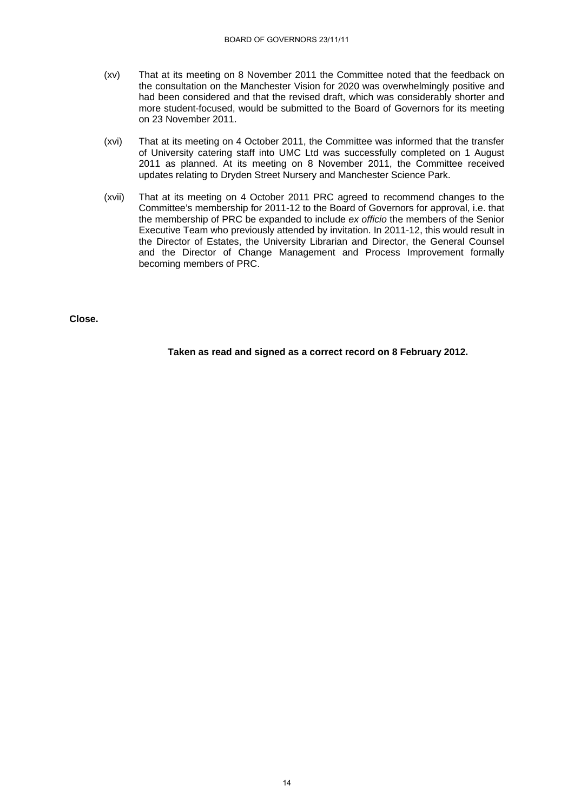- (xv) That at its meeting on 8 November 2011 the Committee noted that the feedback on the consultation on the Manchester Vision for 2020 was overwhelmingly positive and had been considered and that the revised draft, which was considerably shorter and more student-focused, would be submitted to the Board of Governors for its meeting on 23 November 2011.
- (xvi) That at its meeting on 4 October 2011, the Committee was informed that the transfer of University catering staff into UMC Ltd was successfully completed on 1 August 2011 as planned. At its meeting on 8 November 2011, the Committee received updates relating to Dryden Street Nursery and Manchester Science Park.
- (xvii) That at its meeting on 4 October 2011 PRC agreed to recommend changes to the Committee's membership for 2011-12 to the Board of Governors for approval, i.e. that the membership of PRC be expanded to include *ex officio* the members of the Senior Executive Team who previously attended by invitation. In 2011-12, this would result in the Director of Estates, the University Librarian and Director, the General Counsel and the Director of Change Management and Process Improvement formally becoming members of PRC.

**Close.** 

**Taken as read and signed as a correct record on 8 February 2012.**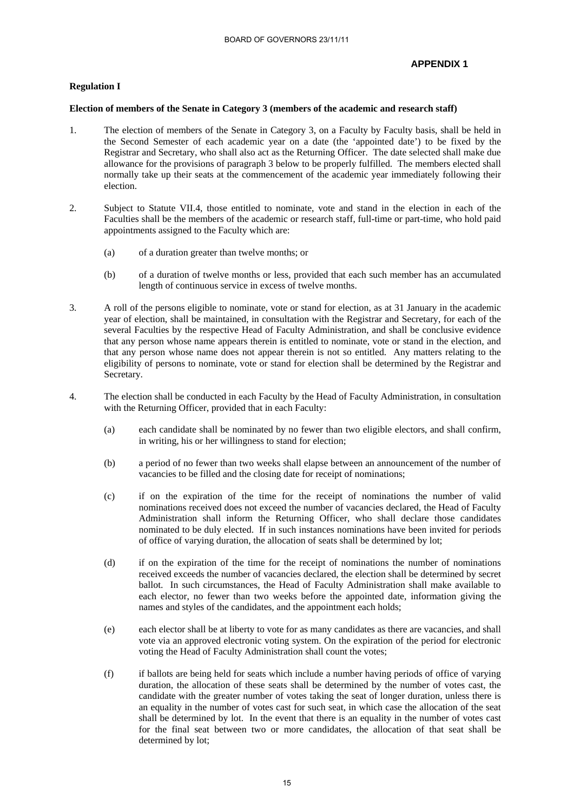# **APPENDIX 1**

### **Regulation I**

#### **Election of members of the Senate in Category 3 (members of the academic and research staff)**

- 1. The election of members of the Senate in Category 3, on a Faculty by Faculty basis, shall be held in the Second Semester of each academic year on a date (the 'appointed date') to be fixed by the Registrar and Secretary, who shall also act as the Returning Officer. The date selected shall make due allowance for the provisions of paragraph 3 below to be properly fulfilled. The members elected shall normally take up their seats at the commencement of the academic year immediately following their election.
- 2. Subject to Statute VII.4, those entitled to nominate, vote and stand in the election in each of the Faculties shall be the members of the academic or research staff, full-time or part-time, who hold paid appointments assigned to the Faculty which are:
	- (a) of a duration greater than twelve months; or
	- (b) of a duration of twelve months or less, provided that each such member has an accumulated length of continuous service in excess of twelve months.
- 3. A roll of the persons eligible to nominate, vote or stand for election, as at 31 January in the academic year of election, shall be maintained, in consultation with the Registrar and Secretary, for each of the several Faculties by the respective Head of Faculty Administration, and shall be conclusive evidence that any person whose name appears therein is entitled to nominate, vote or stand in the election, and that any person whose name does not appear therein is not so entitled. Any matters relating to the eligibility of persons to nominate, vote or stand for election shall be determined by the Registrar and Secretary.
- 4. The election shall be conducted in each Faculty by the Head of Faculty Administration, in consultation with the Returning Officer, provided that in each Faculty:
	- (a) each candidate shall be nominated by no fewer than two eligible electors, and shall confirm, in writing, his or her willingness to stand for election;
	- (b) a period of no fewer than two weeks shall elapse between an announcement of the number of vacancies to be filled and the closing date for receipt of nominations;
	- (c) if on the expiration of the time for the receipt of nominations the number of valid nominations received does not exceed the number of vacancies declared, the Head of Faculty Administration shall inform the Returning Officer, who shall declare those candidates nominated to be duly elected. If in such instances nominations have been invited for periods of office of varying duration, the allocation of seats shall be determined by lot;
	- (d) if on the expiration of the time for the receipt of nominations the number of nominations received exceeds the number of vacancies declared, the election shall be determined by secret ballot. In such circumstances, the Head of Faculty Administration shall make available to each elector, no fewer than two weeks before the appointed date, information giving the names and styles of the candidates, and the appointment each holds;
	- (e) each elector shall be at liberty to vote for as many candidates as there are vacancies, and shall vote via an approved electronic voting system. On the expiration of the period for electronic voting the Head of Faculty Administration shall count the votes;
	- (f) if ballots are being held for seats which include a number having periods of office of varying duration, the allocation of these seats shall be determined by the number of votes cast, the candidate with the greater number of votes taking the seat of longer duration, unless there is an equality in the number of votes cast for such seat, in which case the allocation of the seat shall be determined by lot. In the event that there is an equality in the number of votes cast for the final seat between two or more candidates, the allocation of that seat shall be determined by lot;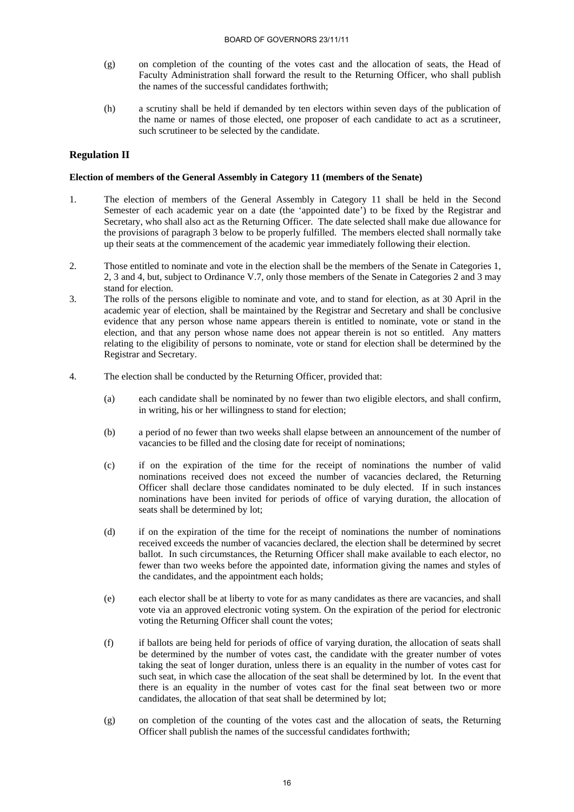- (g) on completion of the counting of the votes cast and the allocation of seats, the Head of Faculty Administration shall forward the result to the Returning Officer, who shall publish the names of the successful candidates forthwith;
- (h) a scrutiny shall be held if demanded by ten electors within seven days of the publication of the name or names of those elected, one proposer of each candidate to act as a scrutineer, such scrutineer to be selected by the candidate.

# **Regulation II**

### **Election of members of the General Assembly in Category 11 (members of the Senate)**

- 1. The election of members of the General Assembly in Category 11 shall be held in the Second Semester of each academic year on a date (the 'appointed date') to be fixed by the Registrar and Secretary, who shall also act as the Returning Officer. The date selected shall make due allowance for the provisions of paragraph 3 below to be properly fulfilled. The members elected shall normally take up their seats at the commencement of the academic year immediately following their election.
- 2. Those entitled to nominate and vote in the election shall be the members of the Senate in Categories 1, 2, 3 and 4, but, subject to Ordinance V.7, only those members of the Senate in Categories 2 and 3 may stand for election.
- 3. The rolls of the persons eligible to nominate and vote, and to stand for election, as at 30 April in the academic year of election, shall be maintained by the Registrar and Secretary and shall be conclusive evidence that any person whose name appears therein is entitled to nominate, vote or stand in the election, and that any person whose name does not appear therein is not so entitled. Any matters relating to the eligibility of persons to nominate, vote or stand for election shall be determined by the Registrar and Secretary.
- 4. The election shall be conducted by the Returning Officer, provided that:
	- (a) each candidate shall be nominated by no fewer than two eligible electors, and shall confirm, in writing, his or her willingness to stand for election;
	- (b) a period of no fewer than two weeks shall elapse between an announcement of the number of vacancies to be filled and the closing date for receipt of nominations;
	- (c) if on the expiration of the time for the receipt of nominations the number of valid nominations received does not exceed the number of vacancies declared, the Returning Officer shall declare those candidates nominated to be duly elected. If in such instances nominations have been invited for periods of office of varying duration, the allocation of seats shall be determined by lot;
	- (d) if on the expiration of the time for the receipt of nominations the number of nominations received exceeds the number of vacancies declared, the election shall be determined by secret ballot. In such circumstances, the Returning Officer shall make available to each elector, no fewer than two weeks before the appointed date, information giving the names and styles of the candidates, and the appointment each holds;
	- (e) each elector shall be at liberty to vote for as many candidates as there are vacancies, and shall vote via an approved electronic voting system. On the expiration of the period for electronic voting the Returning Officer shall count the votes;
	- (f) if ballots are being held for periods of office of varying duration, the allocation of seats shall be determined by the number of votes cast, the candidate with the greater number of votes taking the seat of longer duration, unless there is an equality in the number of votes cast for such seat, in which case the allocation of the seat shall be determined by lot. In the event that there is an equality in the number of votes cast for the final seat between two or more candidates, the allocation of that seat shall be determined by lot;
	- (g) on completion of the counting of the votes cast and the allocation of seats, the Returning Officer shall publish the names of the successful candidates forthwith;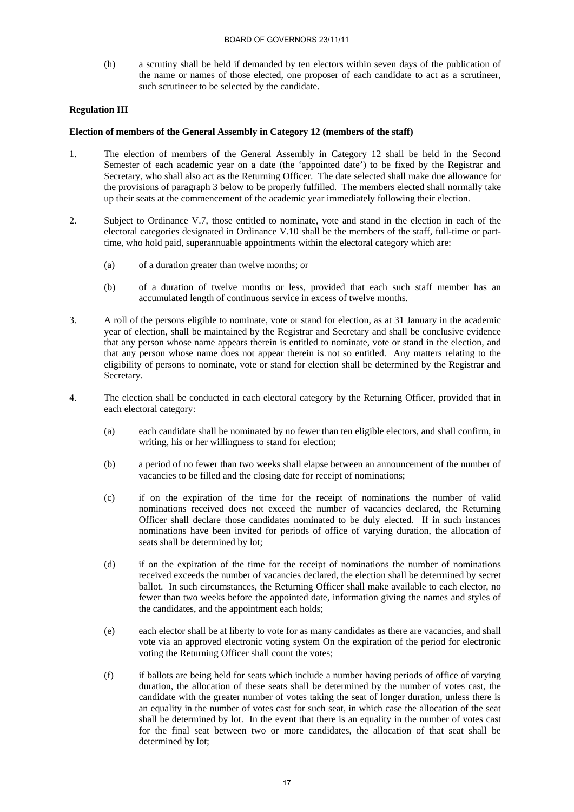(h) a scrutiny shall be held if demanded by ten electors within seven days of the publication of the name or names of those elected, one proposer of each candidate to act as a scrutineer, such scrutineer to be selected by the candidate.

# **Regulation III**

### **Election of members of the General Assembly in Category 12 (members of the staff)**

- 1. The election of members of the General Assembly in Category 12 shall be held in the Second Semester of each academic year on a date (the 'appointed date') to be fixed by the Registrar and Secretary, who shall also act as the Returning Officer. The date selected shall make due allowance for the provisions of paragraph 3 below to be properly fulfilled. The members elected shall normally take up their seats at the commencement of the academic year immediately following their election.
- 2. Subject to Ordinance V.7, those entitled to nominate, vote and stand in the election in each of the electoral categories designated in Ordinance V.10 shall be the members of the staff, full-time or parttime, who hold paid, superannuable appointments within the electoral category which are:
	- (a) of a duration greater than twelve months; or
	- (b) of a duration of twelve months or less, provided that each such staff member has an accumulated length of continuous service in excess of twelve months.
- 3. A roll of the persons eligible to nominate, vote or stand for election, as at 31 January in the academic year of election, shall be maintained by the Registrar and Secretary and shall be conclusive evidence that any person whose name appears therein is entitled to nominate, vote or stand in the election, and that any person whose name does not appear therein is not so entitled. Any matters relating to the eligibility of persons to nominate, vote or stand for election shall be determined by the Registrar and Secretary.
- 4. The election shall be conducted in each electoral category by the Returning Officer, provided that in each electoral category:
	- (a) each candidate shall be nominated by no fewer than ten eligible electors, and shall confirm, in writing, his or her willingness to stand for election;
	- (b) a period of no fewer than two weeks shall elapse between an announcement of the number of vacancies to be filled and the closing date for receipt of nominations;
	- (c) if on the expiration of the time for the receipt of nominations the number of valid nominations received does not exceed the number of vacancies declared, the Returning Officer shall declare those candidates nominated to be duly elected. If in such instances nominations have been invited for periods of office of varying duration, the allocation of seats shall be determined by lot;
	- (d) if on the expiration of the time for the receipt of nominations the number of nominations received exceeds the number of vacancies declared, the election shall be determined by secret ballot. In such circumstances, the Returning Officer shall make available to each elector, no fewer than two weeks before the appointed date, information giving the names and styles of the candidates, and the appointment each holds;
	- (e) each elector shall be at liberty to vote for as many candidates as there are vacancies, and shall vote via an approved electronic voting system On the expiration of the period for electronic voting the Returning Officer shall count the votes;
	- (f) if ballots are being held for seats which include a number having periods of office of varying duration, the allocation of these seats shall be determined by the number of votes cast, the candidate with the greater number of votes taking the seat of longer duration, unless there is an equality in the number of votes cast for such seat, in which case the allocation of the seat shall be determined by lot. In the event that there is an equality in the number of votes cast for the final seat between two or more candidates, the allocation of that seat shall be determined by lot;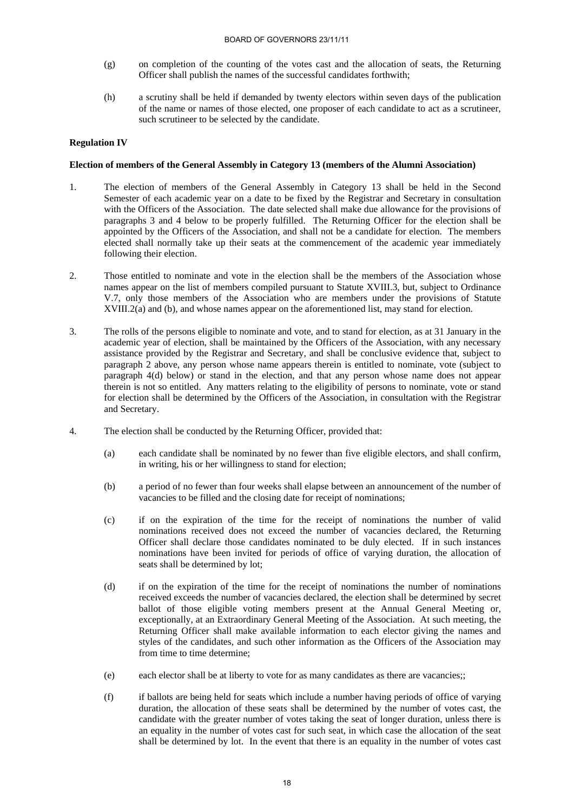- (g) on completion of the counting of the votes cast and the allocation of seats, the Returning Officer shall publish the names of the successful candidates forthwith;
- (h) a scrutiny shall be held if demanded by twenty electors within seven days of the publication of the name or names of those elected, one proposer of each candidate to act as a scrutineer, such scrutineer to be selected by the candidate.

### **Regulation IV**

#### **Election of members of the General Assembly in Category 13 (members of the Alumni Association)**

- 1. The election of members of the General Assembly in Category 13 shall be held in the Second Semester of each academic year on a date to be fixed by the Registrar and Secretary in consultation with the Officers of the Association. The date selected shall make due allowance for the provisions of paragraphs 3 and 4 below to be properly fulfilled. The Returning Officer for the election shall be appointed by the Officers of the Association, and shall not be a candidate for election. The members elected shall normally take up their seats at the commencement of the academic year immediately following their election.
- 2. Those entitled to nominate and vote in the election shall be the members of the Association whose names appear on the list of members compiled pursuant to Statute XVIII.3, but, subject to Ordinance V.7, only those members of the Association who are members under the provisions of Statute XVIII.2(a) and (b), and whose names appear on the aforementioned list, may stand for election.
- 3. The rolls of the persons eligible to nominate and vote, and to stand for election, as at 31 January in the academic year of election, shall be maintained by the Officers of the Association, with any necessary assistance provided by the Registrar and Secretary, and shall be conclusive evidence that, subject to paragraph 2 above, any person whose name appears therein is entitled to nominate, vote (subject to paragraph 4(d) below) or stand in the election, and that any person whose name does not appear therein is not so entitled. Any matters relating to the eligibility of persons to nominate, vote or stand for election shall be determined by the Officers of the Association, in consultation with the Registrar and Secretary.
- 4. The election shall be conducted by the Returning Officer, provided that:
	- (a) each candidate shall be nominated by no fewer than five eligible electors, and shall confirm, in writing, his or her willingness to stand for election;
	- (b) a period of no fewer than four weeks shall elapse between an announcement of the number of vacancies to be filled and the closing date for receipt of nominations;
	- (c) if on the expiration of the time for the receipt of nominations the number of valid nominations received does not exceed the number of vacancies declared, the Returning Officer shall declare those candidates nominated to be duly elected. If in such instances nominations have been invited for periods of office of varying duration, the allocation of seats shall be determined by lot;
	- (d) if on the expiration of the time for the receipt of nominations the number of nominations received exceeds the number of vacancies declared, the election shall be determined by secret ballot of those eligible voting members present at the Annual General Meeting or, exceptionally, at an Extraordinary General Meeting of the Association. At such meeting, the Returning Officer shall make available information to each elector giving the names and styles of the candidates, and such other information as the Officers of the Association may from time to time determine;
	- (e) each elector shall be at liberty to vote for as many candidates as there are vacancies;;
	- (f) if ballots are being held for seats which include a number having periods of office of varying duration, the allocation of these seats shall be determined by the number of votes cast, the candidate with the greater number of votes taking the seat of longer duration, unless there is an equality in the number of votes cast for such seat, in which case the allocation of the seat shall be determined by lot. In the event that there is an equality in the number of votes cast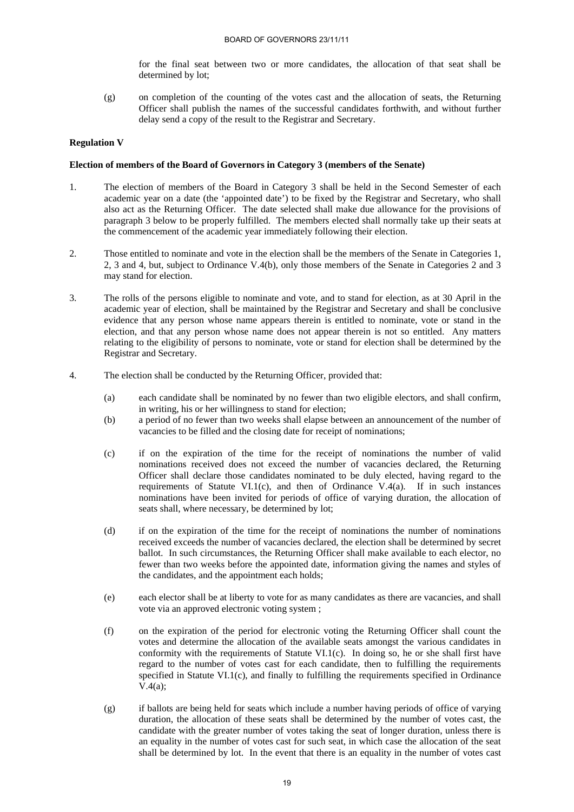for the final seat between two or more candidates, the allocation of that seat shall be determined by lot;

(g) on completion of the counting of the votes cast and the allocation of seats, the Returning Officer shall publish the names of the successful candidates forthwith, and without further delay send a copy of the result to the Registrar and Secretary.

### **Regulation V**

### **Election of members of the Board of Governors in Category 3 (members of the Senate)**

- 1. The election of members of the Board in Category 3 shall be held in the Second Semester of each academic year on a date (the 'appointed date') to be fixed by the Registrar and Secretary, who shall also act as the Returning Officer. The date selected shall make due allowance for the provisions of paragraph 3 below to be properly fulfilled. The members elected shall normally take up their seats at the commencement of the academic year immediately following their election.
- 2. Those entitled to nominate and vote in the election shall be the members of the Senate in Categories 1, 2, 3 and 4, but, subject to Ordinance V.4(b), only those members of the Senate in Categories 2 and 3 may stand for election.
- 3. The rolls of the persons eligible to nominate and vote, and to stand for election, as at 30 April in the academic year of election, shall be maintained by the Registrar and Secretary and shall be conclusive evidence that any person whose name appears therein is entitled to nominate, vote or stand in the election, and that any person whose name does not appear therein is not so entitled. Any matters relating to the eligibility of persons to nominate, vote or stand for election shall be determined by the Registrar and Secretary.
- 4. The election shall be conducted by the Returning Officer, provided that:
	- (a) each candidate shall be nominated by no fewer than two eligible electors, and shall confirm, in writing, his or her willingness to stand for election;
	- (b) a period of no fewer than two weeks shall elapse between an announcement of the number of vacancies to be filled and the closing date for receipt of nominations;
	- (c) if on the expiration of the time for the receipt of nominations the number of valid nominations received does not exceed the number of vacancies declared, the Returning Officer shall declare those candidates nominated to be duly elected, having regard to the requirements of Statute VI.1(c), and then of Ordinance V.4(a). If in such instances nominations have been invited for periods of office of varying duration, the allocation of seats shall, where necessary, be determined by lot;
	- (d) if on the expiration of the time for the receipt of nominations the number of nominations received exceeds the number of vacancies declared, the election shall be determined by secret ballot. In such circumstances, the Returning Officer shall make available to each elector, no fewer than two weeks before the appointed date, information giving the names and styles of the candidates, and the appointment each holds;
	- (e) each elector shall be at liberty to vote for as many candidates as there are vacancies, and shall vote via an approved electronic voting system ;
	- (f) on the expiration of the period for electronic voting the Returning Officer shall count the votes and determine the allocation of the available seats amongst the various candidates in conformity with the requirements of Statute VI.1(c). In doing so, he or she shall first have regard to the number of votes cast for each candidate, then to fulfilling the requirements specified in Statute VI.1(c), and finally to fulfilling the requirements specified in Ordinance V.4(a);
	- (g) if ballots are being held for seats which include a number having periods of office of varying duration, the allocation of these seats shall be determined by the number of votes cast, the candidate with the greater number of votes taking the seat of longer duration, unless there is an equality in the number of votes cast for such seat, in which case the allocation of the seat shall be determined by lot. In the event that there is an equality in the number of votes cast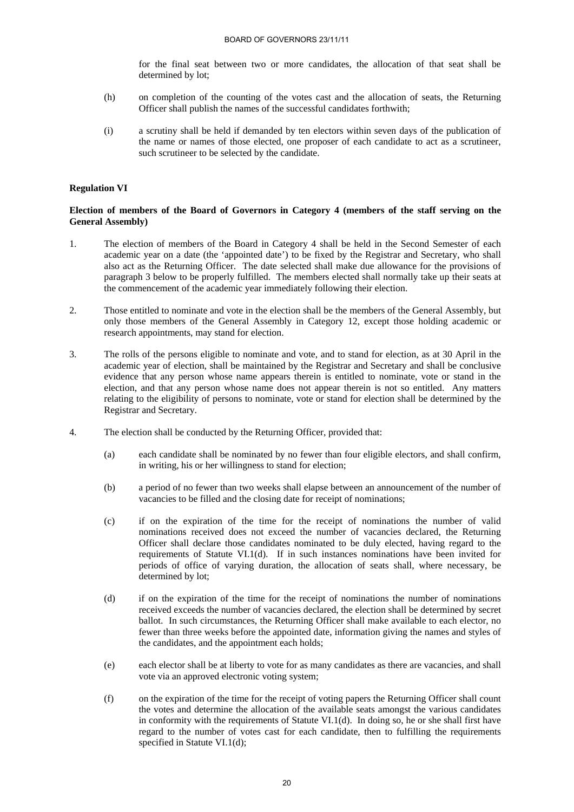for the final seat between two or more candidates, the allocation of that seat shall be determined by lot;

- (h) on completion of the counting of the votes cast and the allocation of seats, the Returning Officer shall publish the names of the successful candidates forthwith;
- (i) a scrutiny shall be held if demanded by ten electors within seven days of the publication of the name or names of those elected, one proposer of each candidate to act as a scrutineer, such scrutineer to be selected by the candidate.

#### **Regulation VI**

### **Election of members of the Board of Governors in Category 4 (members of the staff serving on the General Assembly)**

- 1. The election of members of the Board in Category 4 shall be held in the Second Semester of each academic year on a date (the 'appointed date') to be fixed by the Registrar and Secretary, who shall also act as the Returning Officer. The date selected shall make due allowance for the provisions of paragraph 3 below to be properly fulfilled. The members elected shall normally take up their seats at the commencement of the academic year immediately following their election.
- 2. Those entitled to nominate and vote in the election shall be the members of the General Assembly, but only those members of the General Assembly in Category 12, except those holding academic or research appointments, may stand for election.
- 3. The rolls of the persons eligible to nominate and vote, and to stand for election, as at 30 April in the academic year of election, shall be maintained by the Registrar and Secretary and shall be conclusive evidence that any person whose name appears therein is entitled to nominate, vote or stand in the election, and that any person whose name does not appear therein is not so entitled. Any matters relating to the eligibility of persons to nominate, vote or stand for election shall be determined by the Registrar and Secretary.
- 4. The election shall be conducted by the Returning Officer, provided that:
	- (a) each candidate shall be nominated by no fewer than four eligible electors, and shall confirm, in writing, his or her willingness to stand for election;
	- (b) a period of no fewer than two weeks shall elapse between an announcement of the number of vacancies to be filled and the closing date for receipt of nominations;
	- (c) if on the expiration of the time for the receipt of nominations the number of valid nominations received does not exceed the number of vacancies declared, the Returning Officer shall declare those candidates nominated to be duly elected, having regard to the requirements of Statute VI.1(d). If in such instances nominations have been invited for periods of office of varying duration, the allocation of seats shall, where necessary, be determined by lot;
	- (d) if on the expiration of the time for the receipt of nominations the number of nominations received exceeds the number of vacancies declared, the election shall be determined by secret ballot. In such circumstances, the Returning Officer shall make available to each elector, no fewer than three weeks before the appointed date, information giving the names and styles of the candidates, and the appointment each holds;
	- (e) each elector shall be at liberty to vote for as many candidates as there are vacancies, and shall vote via an approved electronic voting system;
	- (f) on the expiration of the time for the receipt of voting papers the Returning Officer shall count the votes and determine the allocation of the available seats amongst the various candidates in conformity with the requirements of Statute VI.1 $(d)$ . In doing so, he or she shall first have regard to the number of votes cast for each candidate, then to fulfilling the requirements specified in Statute VI.1(d);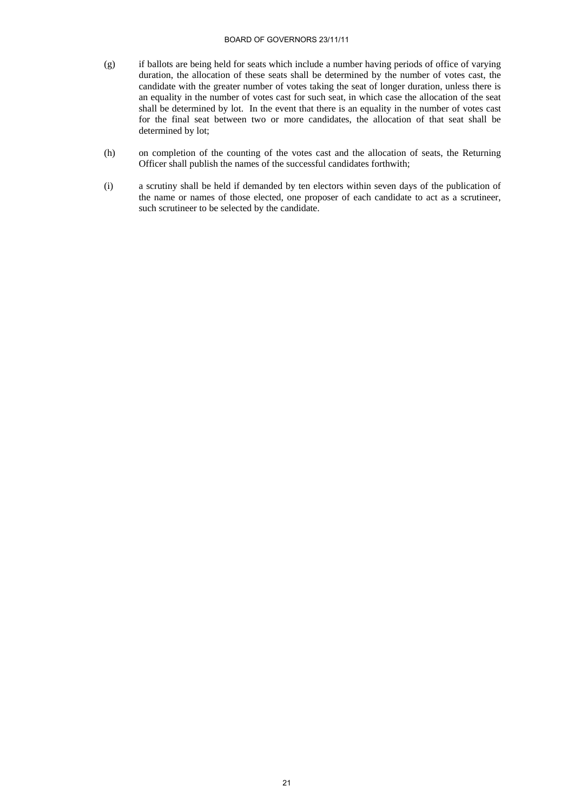#### BOARD OF GOVERNORS 23/11/11

- (g) if ballots are being held for seats which include a number having periods of office of varying duration, the allocation of these seats shall be determined by the number of votes cast, the candidate with the greater number of votes taking the seat of longer duration, unless there is an equality in the number of votes cast for such seat, in which case the allocation of the seat shall be determined by lot. In the event that there is an equality in the number of votes cast for the final seat between two or more candidates, the allocation of that seat shall be determined by lot;
- (h) on completion of the counting of the votes cast and the allocation of seats, the Returning Officer shall publish the names of the successful candidates forthwith;
- (i) a scrutiny shall be held if demanded by ten electors within seven days of the publication of the name or names of those elected, one proposer of each candidate to act as a scrutineer, such scrutineer to be selected by the candidate.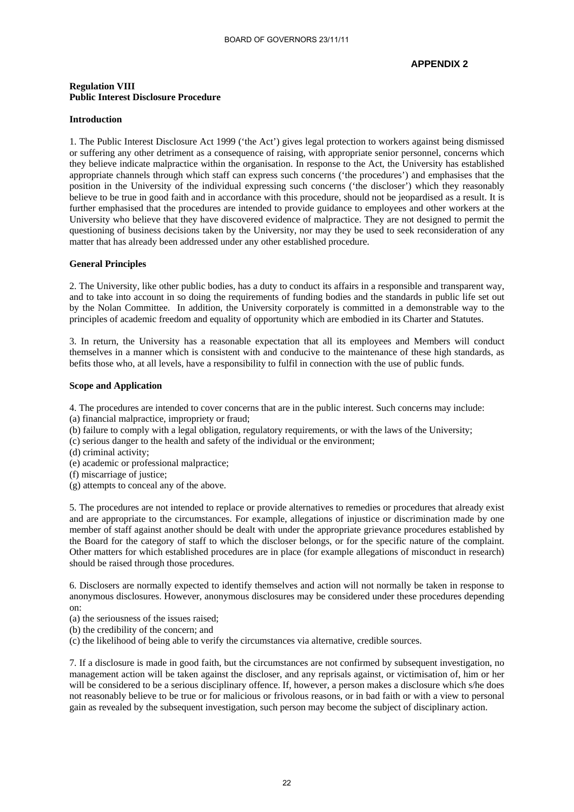### **APPENDIX 2**

#### **Regulation VIII Public Interest Disclosure Procedure**

#### **Introduction**

1. The Public Interest Disclosure Act 1999 ('the Act') gives legal protection to workers against being dismissed or suffering any other detriment as a consequence of raising, with appropriate senior personnel, concerns which they believe indicate malpractice within the organisation. In response to the Act, the University has established appropriate channels through which staff can express such concerns ('the procedures') and emphasises that the position in the University of the individual expressing such concerns ('the discloser') which they reasonably believe to be true in good faith and in accordance with this procedure, should not be jeopardised as a result. It is further emphasised that the procedures are intended to provide guidance to employees and other workers at the University who believe that they have discovered evidence of malpractice. They are not designed to permit the questioning of business decisions taken by the University, nor may they be used to seek reconsideration of any matter that has already been addressed under any other established procedure.

#### **General Principles**

2. The University, like other public bodies, has a duty to conduct its affairs in a responsible and transparent way, and to take into account in so doing the requirements of funding bodies and the standards in public life set out by the Nolan Committee. In addition, the University corporately is committed in a demonstrable way to the principles of academic freedom and equality of opportunity which are embodied in its Charter and Statutes.

3. In return, the University has a reasonable expectation that all its employees and Members will conduct themselves in a manner which is consistent with and conducive to the maintenance of these high standards, as befits those who, at all levels, have a responsibility to fulfil in connection with the use of public funds.

#### **Scope and Application**

4. The procedures are intended to cover concerns that are in the public interest. Such concerns may include: (a) financial malpractice, impropriety or fraud;

- (b) failure to comply with a legal obligation, regulatory requirements, or with the laws of the University;
- (c) serious danger to the health and safety of the individual or the environment;
- (d) criminal activity;
- (e) academic or professional malpractice;
- (f) miscarriage of justice;
- (g) attempts to conceal any of the above.

5. The procedures are not intended to replace or provide alternatives to remedies or procedures that already exist and are appropriate to the circumstances. For example, allegations of injustice or discrimination made by one member of staff against another should be dealt with under the appropriate grievance procedures established by the Board for the category of staff to which the discloser belongs, or for the specific nature of the complaint. Other matters for which established procedures are in place (for example allegations of misconduct in research) should be raised through those procedures.

6. Disclosers are normally expected to identify themselves and action will not normally be taken in response to anonymous disclosures. However, anonymous disclosures may be considered under these procedures depending on:

- (a) the seriousness of the issues raised;
- (b) the credibility of the concern; and
- (c) the likelihood of being able to verify the circumstances via alternative, credible sources.

7. If a disclosure is made in good faith, but the circumstances are not confirmed by subsequent investigation, no management action will be taken against the discloser, and any reprisals against, or victimisation of, him or her will be considered to be a serious disciplinary offence. If, however, a person makes a disclosure which s/he does not reasonably believe to be true or for malicious or frivolous reasons, or in bad faith or with a view to personal gain as revealed by the subsequent investigation, such person may become the subject of disciplinary action.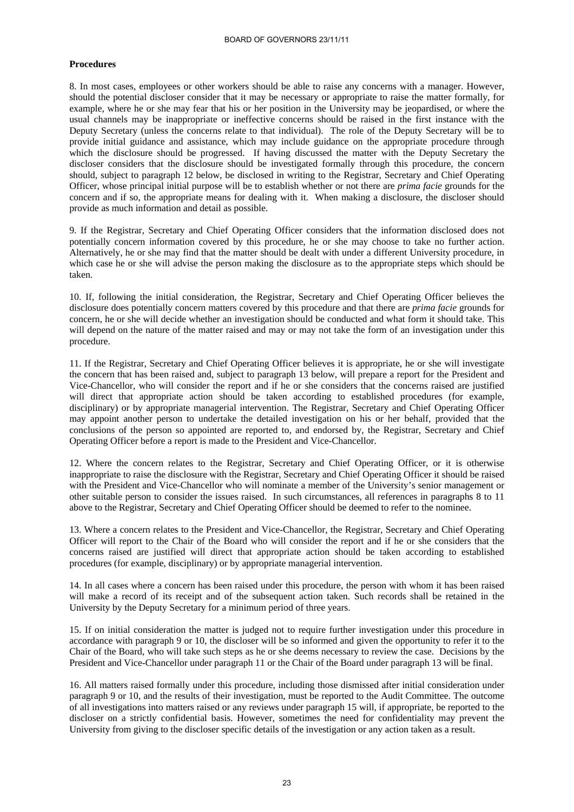#### **Procedures**

8. In most cases, employees or other workers should be able to raise any concerns with a manager. However, should the potential discloser consider that it may be necessary or appropriate to raise the matter formally, for example, where he or she may fear that his or her position in the University may be jeopardised, or where the usual channels may be inappropriate or ineffective concerns should be raised in the first instance with the Deputy Secretary (unless the concerns relate to that individual). The role of the Deputy Secretary will be to provide initial guidance and assistance, which may include guidance on the appropriate procedure through which the disclosure should be progressed. If having discussed the matter with the Deputy Secretary the discloser considers that the disclosure should be investigated formally through this procedure, the concern should, subject to paragraph 12 below, be disclosed in writing to the Registrar, Secretary and Chief Operating Officer, whose principal initial purpose will be to establish whether or not there are *prima facie* grounds for the concern and if so, the appropriate means for dealing with it. When making a disclosure, the discloser should provide as much information and detail as possible.

9. If the Registrar, Secretary and Chief Operating Officer considers that the information disclosed does not potentially concern information covered by this procedure, he or she may choose to take no further action. Alternatively, he or she may find that the matter should be dealt with under a different University procedure, in which case he or she will advise the person making the disclosure as to the appropriate steps which should be taken.

10. If, following the initial consideration, the Registrar, Secretary and Chief Operating Officer believes the disclosure does potentially concern matters covered by this procedure and that there are *prima facie* grounds for concern, he or she will decide whether an investigation should be conducted and what form it should take. This will depend on the nature of the matter raised and may or may not take the form of an investigation under this procedure.

11. If the Registrar, Secretary and Chief Operating Officer believes it is appropriate, he or she will investigate the concern that has been raised and, subject to paragraph 13 below, will prepare a report for the President and Vice-Chancellor, who will consider the report and if he or she considers that the concerns raised are justified will direct that appropriate action should be taken according to established procedures (for example, disciplinary) or by appropriate managerial intervention. The Registrar, Secretary and Chief Operating Officer may appoint another person to undertake the detailed investigation on his or her behalf, provided that the conclusions of the person so appointed are reported to, and endorsed by, the Registrar, Secretary and Chief Operating Officer before a report is made to the President and Vice-Chancellor.

12. Where the concern relates to the Registrar, Secretary and Chief Operating Officer, or it is otherwise inappropriate to raise the disclosure with the Registrar, Secretary and Chief Operating Officer it should be raised with the President and Vice-Chancellor who will nominate a member of the University's senior management or other suitable person to consider the issues raised. In such circumstances, all references in paragraphs 8 to 11 above to the Registrar, Secretary and Chief Operating Officer should be deemed to refer to the nominee.

13. Where a concern relates to the President and Vice-Chancellor, the Registrar, Secretary and Chief Operating Officer will report to the Chair of the Board who will consider the report and if he or she considers that the concerns raised are justified will direct that appropriate action should be taken according to established procedures (for example, disciplinary) or by appropriate managerial intervention.

14. In all cases where a concern has been raised under this procedure, the person with whom it has been raised will make a record of its receipt and of the subsequent action taken. Such records shall be retained in the University by the Deputy Secretary for a minimum period of three years.

15. If on initial consideration the matter is judged not to require further investigation under this procedure in accordance with paragraph 9 or 10, the discloser will be so informed and given the opportunity to refer it to the Chair of the Board, who will take such steps as he or she deems necessary to review the case. Decisions by the President and Vice-Chancellor under paragraph 11 or the Chair of the Board under paragraph 13 will be final.

16. All matters raised formally under this procedure, including those dismissed after initial consideration under paragraph 9 or 10, and the results of their investigation, must be reported to the Audit Committee. The outcome of all investigations into matters raised or any reviews under paragraph 15 will, if appropriate, be reported to the discloser on a strictly confidential basis. However, sometimes the need for confidentiality may prevent the University from giving to the discloser specific details of the investigation or any action taken as a result.